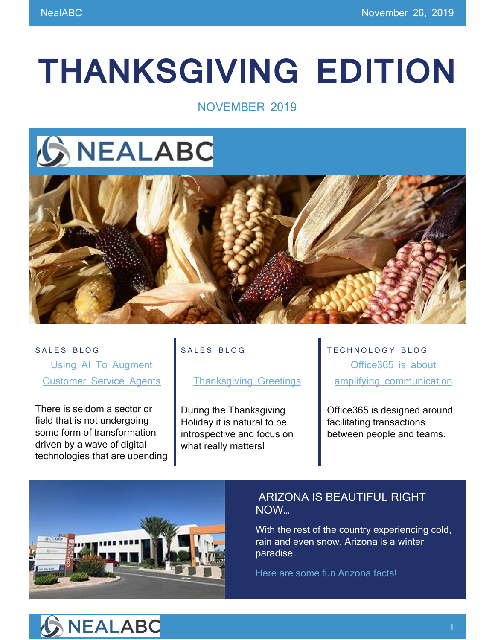# **THANKSGIVING EDITION**

## NOVEMBER 2019

## **GNEALABC**



SALES BLOG [Using AI To Augment](https://www.nealabc.com/using-ai-to-augment-customer-service-agents/)  [Customer Service Agents](https://www.nealabc.com/using-ai-to-augment-customer-service-agents/)

There is seldom a sector or field that is not undergoing some form of transformation driven by a wave of digital technologies that are upending

#### SALES BLOG

#### [Thanksgiving Greetings](https://www.nealabc.com/thanksgiving-greetings/)

During the Thanksgiving Holiday it is natural to be introspective and focus on what really matters!

TECHNOLOGY BLOG [Office365 is about](https://www.nealabc.com/a-lot-of-products-out-there-try-to-eliminate-the-need-for-communication-office365-is-about-amplifying-it-so-you-can-collaborate-with-ease/)  [amplifying communication](https://www.nealabc.com/a-lot-of-products-out-there-try-to-eliminate-the-need-for-communication-office365-is-about-amplifying-it-so-you-can-collaborate-with-ease/)

Office365 is designed around facilitating transactions between people and teams.



## ARIZONA IS BEAUTIFUL RIGHT NOW…

With the rest of the country experiencing cold, rain and even snow, Arizona is a winter paradise.

[Here are some fun Arizona facts!](https://azgovernor.gov/governor/arizona-facts)